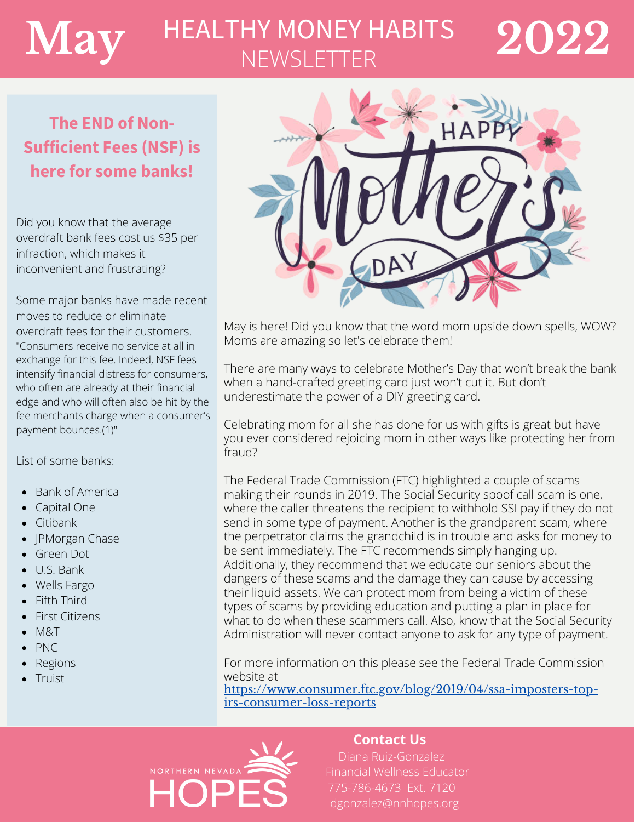# $\mathbf{May}$  HEALTHY MONEY HABITS 2022 **NEWSLETTER**

# **The END of Non-Sufficient Fees (NSF) is here for some banks!**

Did you know that the average [overdraft](https://www.nerdwallet.com/article/banking/overdraft-fees) bank fees cost us \$35 per infraction, which makes it inconvenient and frustrating?

Some major banks have made recent moves to reduce or eliminate overdraft fees for their customers. "Consumers receive no service at all in exchange for this fee. Indeed, NSF fees intensify financial distress for consumers, who often are already at their financial edge and who will often also be hit by the fee merchants charge when a consumer's payment bounces.(1)"

List of some banks:

- Bank of America
- Capital One
- Citibank
- JPMorgan Chase
- Green Dot
- U.S. Bank
- Wells Fargo
- Fifth Third
- First Citizens
- $-M&T$
- PNC
- Regions
- **Truist**



May is here! Did you know that the word mom upside down spells, WOW? Moms are amazing so let's celebrate them!

There are many ways to celebrate Mother's Day that won't break the bank when a hand-crafted greeting card just won't cut it. But don't underestimate the power of a DIY greeting card.

Celebrating mom for all she has done for us with gifts is great but have you ever considered rejoicing mom in other ways like protecting her from fraud?

The Federal Trade Commission (FTC) highlighted a couple of scams making their rounds in 2019. The Social Security spoof call scam is one, where the caller threatens the recipient to withhold SSI pay if they do not send in some type of payment. Another is the grandparent scam, where the perpetrator claims the grandchild is in trouble and asks for money to be sent immediately. The FTC recommends simply hanging up. Additionally, they recommend that we educate our seniors about the dangers of these scams and the damage they can cause by accessing their liquid assets. We can protect mom from being a victim of these types of scams by providing education and putting a plan in place for what to do when these scammers call. Also, know that the Social Security Administration will never contact anyone to ask for any type of payment.

For more information on this please see the Federal Trade Commission website at

https://www.consumer.ftc.gov/blog/2019/04/ssa-imposters-topirs-consumer-loss-reports



#### **Contact Us**

Diana Ruiz-Gonzalez Financial Wellness Educator 775-786-4673 Ext. 7120 [dgonzalez@nnhopes.org](mailto:dgonzalez@nnhopes.org)